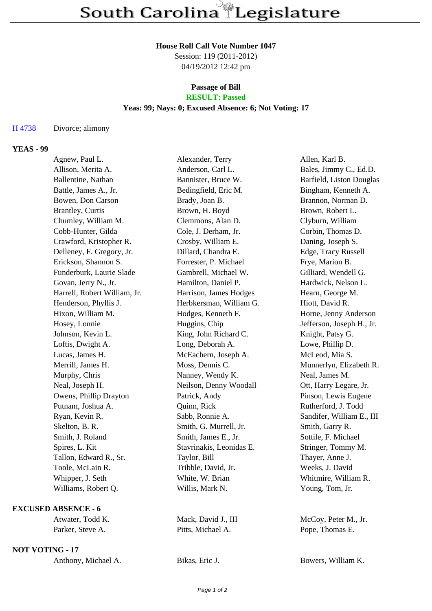#### **House Roll Call Vote Number 1047**

Session: 119 (2011-2012) 04/19/2012 12:42 pm

### **Passage of Bill RESULT: Passed**

### **Yeas: 99; Nays: 0; Excused Absence: 6; Not Voting: 17**

### H 4738 Divorce; alimony

## **YEAS - 99**

| Agnew, Paul L.               | Alexander, Terry         | Allen, Karl B.            |
|------------------------------|--------------------------|---------------------------|
| Allison, Merita A.           | Anderson, Carl L.        | Bales, Jimmy C., Ed.D.    |
| Ballentine, Nathan           | Bannister, Bruce W.      | Barfield, Liston Douglas  |
| Battle, James A., Jr.        | Bedingfield, Eric M.     | Bingham, Kenneth A.       |
| Bowen, Don Carson            | Brady, Joan B.           | Brannon, Norman D.        |
| Brantley, Curtis             | Brown, H. Boyd           | Brown, Robert L.          |
| Chumley, William M.          | Clemmons, Alan D.        | Clyburn, William          |
| Cobb-Hunter, Gilda           | Cole, J. Derham, Jr.     | Corbin, Thomas D.         |
| Crawford, Kristopher R.      | Crosby, William E.       | Daning, Joseph S.         |
| Delleney, F. Gregory, Jr.    | Dillard, Chandra E.      | Edge, Tracy Russell       |
| Erickson, Shannon S.         | Forrester, P. Michael    | Frye, Marion B.           |
| Funderburk, Laurie Slade     | Gambrell, Michael W.     | Gilliard, Wendell G.      |
| Govan, Jerry N., Jr.         | Hamilton, Daniel P.      | Hardwick, Nelson L.       |
| Harrell, Robert William, Jr. | Harrison, James Hodges   | Hearn, George M.          |
| Henderson, Phyllis J.        | Herbkersman, William G.  | Hiott, David R.           |
| Hixon, William M.            | Hodges, Kenneth F.       | Horne, Jenny Anderson     |
| Hosey, Lonnie                | Huggins, Chip            | Jefferson, Joseph H., Jr. |
| Johnson, Kevin L.            | King, John Richard C.    | Knight, Patsy G.          |
| Loftis, Dwight A.            | Long, Deborah A.         | Lowe, Phillip D.          |
| Lucas, James H.              | McEachern, Joseph A.     | McLeod, Mia S.            |
| Merrill, James H.            | Moss, Dennis C.          | Munnerlyn, Elizabeth R.   |
| Murphy, Chris                | Nanney, Wendy K.         | Neal, James M.            |
| Neal, Joseph H.              | Neilson, Denny Woodall   | Ott, Harry Legare, Jr.    |
| Owens, Phillip Drayton       | Patrick, Andy            | Pinson, Lewis Eugene      |
| Putnam, Joshua A.            | Quinn, Rick              | Rutherford, J. Todd       |
| Ryan, Kevin R.               | Sabb, Ronnie A.          | Sandifer, William E., III |
| Skelton, B. R.               | Smith, G. Murrell, Jr.   | Smith, Garry R.           |
| Smith, J. Roland             | Smith, James E., Jr.     | Sottile, F. Michael       |
| Spires, L. Kit               | Stavrinakis, Leonidas E. | Stringer, Tommy M.        |
| Tallon, Edward R., Sr.       | Taylor, Bill             | Thayer, Anne J.           |
| Toole, McLain R.             | Tribble, David, Jr.      | Weeks, J. David           |
| Whipper, J. Seth             | White, W. Brian          | Whitmire, William R.      |
| Williams, Robert Q.          | Willis, Mark N.          | Young, Tom, Jr.           |
|                              |                          |                           |

# **EXCUSED ABSENCE - 6**

Atwater, Todd K. Mack, David J., III McCoy, Peter M., Jr. Parker, Steve A. Pitts, Michael A. Pope, Thomas E.

## **NOT VOTING - 17**

| Anthony, Michael A. | Bikas, Eric J. | Bowers, William K. |
|---------------------|----------------|--------------------|
|---------------------|----------------|--------------------|